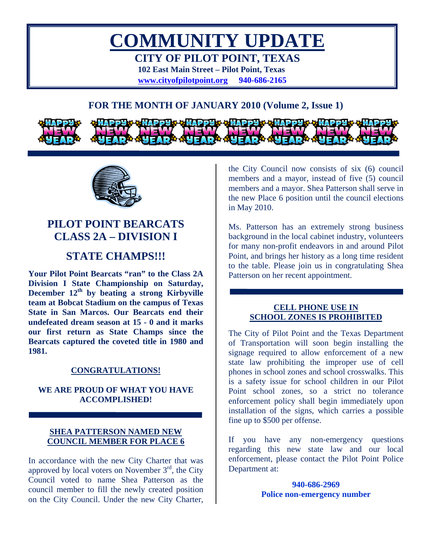

# **FOR THE MONTH OF JANUARY 2010 (Volume 2, Issue 1)**



# **PILOT POINT BEARCATS CLASS 2A – DIVISION I**

# **STATE CHAMPS!!!**

**Your Pilot Point Bearcats "ran" to the Class 2A Division I State Championship on Saturday,**  December  $12<sup>th</sup>$  by beating a strong Kirbyville **team at Bobcat Stadium on the campus of Texas State in San Marcos. Our Bearcats end their undefeated dream season at 15 - 0 and it marks our first return as State Champs since the Bearcats captured the coveted title in 1980 and 1981.** 

## **CONGRATULATIONS!**

## **WE ARE PROUD OF WHAT YOU HAVE ACCOMPLISHED!**

### **SHEA PATTERSON NAMED NEW COUNCIL MEMBER FOR PLACE 6**

In accordance with the new City Charter that was approved by local voters on November  $3<sup>rd</sup>$ , the City Council voted to name Shea Patterson as the council member to fill the newly created position on the City Council. Under the new City Charter,

the City Council now consists of six (6) council members and a mayor, instead of five (5) council members and a mayor. Shea Patterson shall serve in the new Place 6 position until the council elections in May 2010.

Ms. Patterson has an extremely strong business background in the local cabinet industry, volunteers for many non-profit endeavors in and around Pilot Point, and brings her history as a long time resident to the table. Please join us in congratulating Shea Patterson on her recent appointment.

#### **CELL PHONE USE IN SCHOOL ZONES IS PROHIBITED**

The City of Pilot Point and the Texas Department of Transportation will soon begin installing the signage required to allow enforcement of a new state law prohibiting the improper use of cell phones in school zones and school crosswalks. This is a safety issue for school children in our Pilot Point school zones, so a strict no tolerance enforcement policy shall begin immediately upon installation of the signs, which carries a possible fine up to \$500 per offense.

If you have any non-emergency questions regarding this new state law and our local enforcement, please contact the Pilot Point Police Department at:

> **940-686-2969 Police non-emergency number**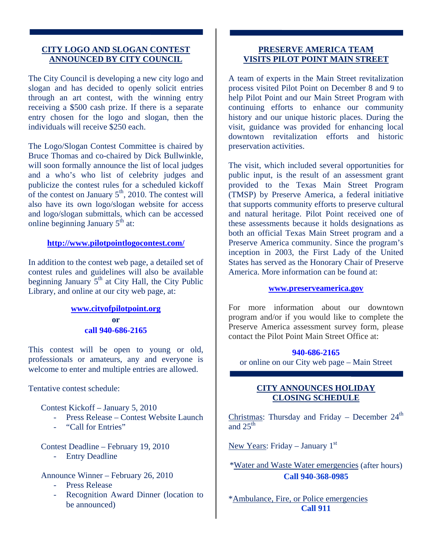### **CITY LOGO AND SLOGAN CONTEST ANNOUNCED BY CITY COUNCIL**

The City Council is developing a new city logo and slogan and has decided to openly solicit entries through an art contest, with the winning entry receiving a \$500 cash prize. If there is a separate entry chosen for the logo and slogan, then the individuals will receive \$250 each.

The Logo/Slogan Contest Committee is chaired by Bruce Thomas and co-chaired by Dick Bullwinkle, will soon formally announce the list of local judges and a who's who list of celebrity judges and publicize the contest rules for a scheduled kickoff of the contest on January  $5<sup>th</sup>$ , 2010. The contest will also have its own logo/slogan website for access and logo/slogan submittals, which can be accessed online beginning January  $5<sup>th</sup>$  at:

#### **<http://www.pilotpointlogocontest.com/>**

In addition to the contest web page, a detailed set of contest rules and guidelines will also be available beginning January  $5<sup>th</sup>$  at City Hall, the City Public Library, and online at our city web page, at:

### **[www.cityofpilotpoint.org](http://www.cityofpilotpoint.org/) or call 940-686-2165**

This contest will be open to young or old, professionals or amateurs, any and everyone is welcome to enter and multiple entries are allowed.

Tentative contest schedule:

Contest Kickoff – January 5, 2010

- Press Release Contest Website Launch
- "Call for Entries"

Contest Deadline – February 19, 2010

- Entry Deadline

## Announce Winner – February 26, 2010

- Press Release
- Recognition Award Dinner (location to be announced)

# **PRESERVE AMERICA TEAM VISITS PILOT POINT MAIN STREET**

A team of experts in the Main Street revitalization process visited Pilot Point on December 8 and 9 to help Pilot Point and our Main Street Program with continuing efforts to enhance our community history and our unique historic places. During the visit, guidance was provided for enhancing local downtown revitalization efforts and historic preservation activities.

The visit, which included several opportunities for public input, is the result of an assessment grant provided to the Texas Main Street Program (TMSP) by Preserve America, a federal initiative that supports community efforts to preserve cultural and natural heritage. Pilot Point received one of these assessments because it holds designations as both an official Texas Main Street program and a Preserve America community. Since the program's inception in 2003, the First Lady of the United States has served as the Honorary Chair of Preserve America. More information can be found at:

#### **[www.preserveamerica.gov](http://www.preserveamerica.gov/)**

For more information about our downtown program and/or if you would like to complete the Preserve America assessment survey form, please contact the Pilot Point Main Street Office at:

## **940-686-2165**

or online on our City web page – Main Street

## **CITY ANNOUNCES HOLIDAY CLOSING SCHEDULE**

Christmas: Thursday and Friday – December  $24<sup>th</sup>$ and  $25^{\text{th}}$ 

New Years: Friday – January  $1<sup>st</sup>$ 

\*Water and Waste Water emergencies (after hours) **Call 940-368-0985** 

\*Ambulance, Fire, or Police emergencies **Call 911**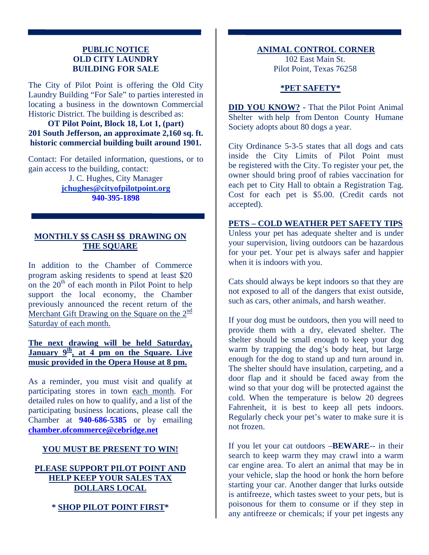### **PUBLIC NOTICE OLD CITY LAUNDRY BUILDING FOR SALE**

The City of Pilot Point is offering the Old City Laundry Building "For Sale" to parties interested in locating a business in the downtown Commercial Historic District. The building is described as:

**OT Pilot Point, Block 18, Lot 1, (part) 201 South Jefferson, an approximate 2,160 sq. ft. historic commercial building built around 1901.** 

Contact: For detailed information, questions, or to gain access to the building, contact:

> J. C. Hughes, City Manager **[jchughes@cityofpilotpoint.org](mailto:jchughes@cityofpilotpoint.org) 940-395-1898**

## **MONTHLY \$\$ CASH \$\$ DRAWING ON THE SQUARE**

In addition to the Chamber of Commerce program asking residents to spend at least \$20 on the  $20<sup>th</sup>$  of each month in Pilot Point to help support the local economy, the Chamber previously announced the recent return of the Merchant Gift Drawing on the Square on the  $2<sup>nd</sup>$ Saturday of each month.

# **The next drawing will be held Saturday, January 9th, at 4 pm on the Square. Live music provided in the Opera House at 8 pm.**

As a reminder, you must visit and qualify at participating stores in town each month. For detailed rules on how to qualify, and a list of the participating business locations, please call the Chamber at **940-686-5385** or by emailing **[chamber.ofcommerce@cebridge.net](mailto:chamber.ofcommerce@cebridge.net)**

## **YOU MUST BE PRESENT TO WIN!**

# **PLEASE SUPPORT PILOT POINT AND HELP KEEP YOUR SALES TAX DOLLARS LOCAL**

# **\* SHOP PILOT POINT FIRST\***

### **ANIMAL CONTROL CORNER**

102 East Main St. Pilot Point, Texas 76258

### **\*PET SAFETY\***

**DID YOU KNOW?** - That the Pilot Point Animal Shelter with help from Denton County Humane Society adopts about 80 dogs a year.

City Ordinance 5-3-5 states that all dogs and cats inside the City Limits of Pilot Point must be registered with the City. To register your pet, the owner should bring proof of rabies vaccination for each pet to City Hall to obtain a Registration Tag. Cost for each pet is \$5.00. (Credit cards not accepted).

**PETS – COLD WEATHER PET SAFETY TIPS** Unless your pet has adequate shelter and is under your supervision, living outdoors can be hazardous for your pet. Your pet is always safer and happier when it is indoors with you.

Cats should always be kept indoors so that they are not exposed to all of the dangers that exist outside, such as cars, other animals, and harsh weather.

If your dog must be outdoors, then you will need to provide them with a dry, elevated shelter. The shelter should be small enough to keep your dog warm by trapping the dog's body heat, but large enough for the dog to stand up and turn around in. The shelter should have insulation, carpeting, and a door flap and it should be faced away from the wind so that your dog will be protected against the cold. When the temperature is below 20 degrees Fahrenheit, it is best to keep all pets indoors. Regularly check your pet's water to make sure it is not frozen.

If you let your cat outdoors –**BEWARE**-- in their search to keep warm they may crawl into a warm car engine area. To alert an animal that may be in your vehicle, slap the hood or honk the horn before starting your car. Another danger that lurks outside is antifreeze, which tastes sweet to your pets, but is poisonous for them to consume or if they step in any antifreeze or chemicals; if your pet ingests any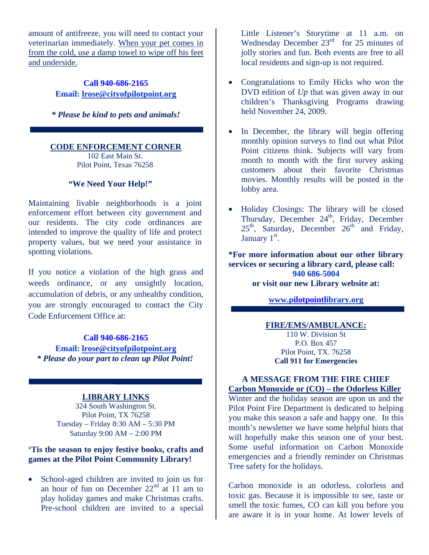amount of antifreeze, you will need to contact your veterinarian immediately. When your pet comes in from the cold, use a damp towel to wipe off his feet and underside.

> **Call 940-686-2165 Email: [lrose@cityofpilotpoint.org](mailto:lrose@cityofpilotpoint.org)**

*\* Please be kind to pets and animals!* 

#### **CODE ENFORCEMENT CORNER**

102 East Main St. Pilot Point, Texas 76258

### **"We Need Your Help!"**

Maintaining livable neighborhoods is a joint enforcement effort between city government and our residents. The city code ordinances are intended to improve the quality of life and protect property values, but we need your assistance in spotting violations.

If you notice a violation of the high grass and weeds ordinance, or any unsightly location, accumulation of debris, or any unhealthy condition, you are strongly encouraged to contact the City Code Enforcement Office at:

#### **Call 940-686-2165**

**Email: [lrose@cityofpilotpoint.org](mailto:lrose@cityofpilotpoint.org)** *\* Please do your part to clean up Pilot Point!* 

## **LIBRARY LINKS**

324 South Washington St. Pilot Point, TX 76258 Tuesday – Friday 8:30 AM – 5:30 PM Saturday 9:00 AM – 2:00 PM

## **'Tis the season to enjoy festive books, crafts and games at the Pilot Point Community Library!**

School-aged children are invited to join us for an hour of fun on December  $22<sup>nd</sup>$  at 11 am to play holiday games and make Christmas crafts. Pre-school children are invited to a special

Little Listener's Storytime at 11 a.m. on Wednesday December 23<sup>rd</sup> for 25 minutes of jolly stories and fun. Both events are free to all local residents and sign-up is not required.

- Congratulations to Emily Hicks who won the DVD edition of *Up* that was given away in our children's Thanksgiving Programs drawing held November 24, 2009.
- In December, the library will begin offering monthly opinion surveys to find out what Pilot Point citizens think. Subjects will vary from month to month with the first survey asking customers about their favorite Christmas movies. Monthly results will be posted in the lobby area.
- Holiday Closings: The library will be closed Thursday, December  $24<sup>th</sup>$ , Friday, December  $25<sup>th</sup>$ , Saturday, December  $26<sup>th</sup>$  and Friday, January 1<sup>st</sup>.

**\*For more information about our other library services or securing a library card, please call: 940 686-5004 or visit our new Library website at:** 

**[www.pilotpointlibrary.org](http://www.pilotpointlibrary.org/)**

# **FIRE/EMS/AMBULANCE:**

110 W. Division St P.O. Box 457 Pilot Point, TX. 76258 **Call 911 for Emergencies** 

#### **A MESSAGE FROM THE FIRE CHIEF Carbon Monoxide or (CO) – the Odorless Killer**

Winter and the holiday season are upon us and the Pilot Point Fire Department is dedicated to helping you make this season a safe and happy one. In this month's newsletter we have some helpful hints that will hopefully make this season one of your best. Some useful information on Carbon Monoxide emergencies and a friendly reminder on Christmas Tree safety for the holidays.

Carbon monoxide is an odorless, colorless and toxic gas. Because it is impossible to see, taste or smell the toxic fumes, CO can kill you before you are aware it is in your home. At lower levels of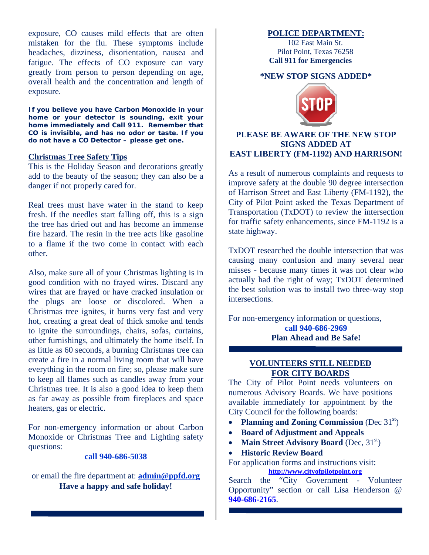exposure, CO causes mild effects that are often mistaken for the flu. These symptoms include headaches, dizziness, disorientation, nausea and fatigue. The effects of CO exposure can vary greatly from person to person depending on age, overall health and the concentration and length of exposure.

**If you believe you have Carbon Monoxide in your home or your detector is sounding, exit your home immediately and Call 911. Remember that CO is invisible, and has no odor or taste. If you do not have a CO Detector – please get one.** 

#### **Christmas Tree Safety Tips**

This is the Holiday Season and decorations greatly add to the beauty of the season; they can also be a danger if not properly cared for.

Real trees must have water in the stand to keep fresh. If the needles start falling off, this is a sign the tree has dried out and has become an immense fire hazard. The resin in the tree acts like gasoline to a flame if the two come in contact with each other.

Also, make sure all of your Christmas lighting is in good condition with no frayed wires. Discard any wires that are frayed or have cracked insulation or the plugs are loose or discolored. When a Christmas tree ignites, it burns very fast and very hot, creating a great deal of thick smoke and tends to ignite the surroundings, chairs, sofas, curtains, other furnishings, and ultimately the home itself. In as little as 60 seconds, a burning Christmas tree can create a fire in a normal living room that will have everything in the room on fire; so, please make sure to keep all flames such as candles away from your Christmas tree. It is also a good idea to keep them as far away as possible from fireplaces and space heaters, gas or electric.

For non-emergency information or about Carbon Monoxide or Christmas Tree and Lighting safety questions:

#### **call 940-686-5038**

or email the fire department at: **[admin@ppfd.org](mailto:bstorer@ppfd.org) Have a happy and safe holiday!** 

#### **POLICE DEPARTMENT:**

102 East Main St. Pilot Point, Texas 76258 **Call 911 for Emergencies** 

#### **\*NEW STOP SIGNS ADDED\***



#### **PLEASE BE AWARE OF THE NEW STOP SIGNS ADDED AT EAST LIBERTY (FM-1192) AND HARRISON!**

As a result of numerous complaints and requests to improve safety at the double 90 degree intersection of Harrison Street and East Liberty (FM-1192), the City of Pilot Point asked the Texas Department of Transportation (TxDOT) to review the intersection for traffic safety enhancements, since FM-1192 is a state highway.

TxDOT researched the double intersection that was causing many confusion and many several near misses - because many times it was not clear who actually had the right of way; TxDOT determined the best solution was to install two three-way stop intersections.

For non-emergency information or questions, **call 940-686-2969 Plan Ahead and Be Safe!** 

### **VOLUNTEERS STILL NEEDED FOR CITY BOARDS**

The City of Pilot Point needs volunteers on numerous Advisory Boards. We have positions available immediately for appointment by the City Council for the following boards:

- **Planning and Zoning Commission** (Dec 31<sup>st</sup>)
- **Board of Adjustment and Appeals**
- **Main Street Advisory Board** (Dec, 31<sup>st</sup>)
- **Historic Review Board**

For application forms and instructions visit: **[http://www.cityofpilotpoint.org](http://www.cityofpilotpoint.org/)**

Search the "City Government - Volunteer Opportunity" section or call Lisa Henderson @ **940-686-2165**.